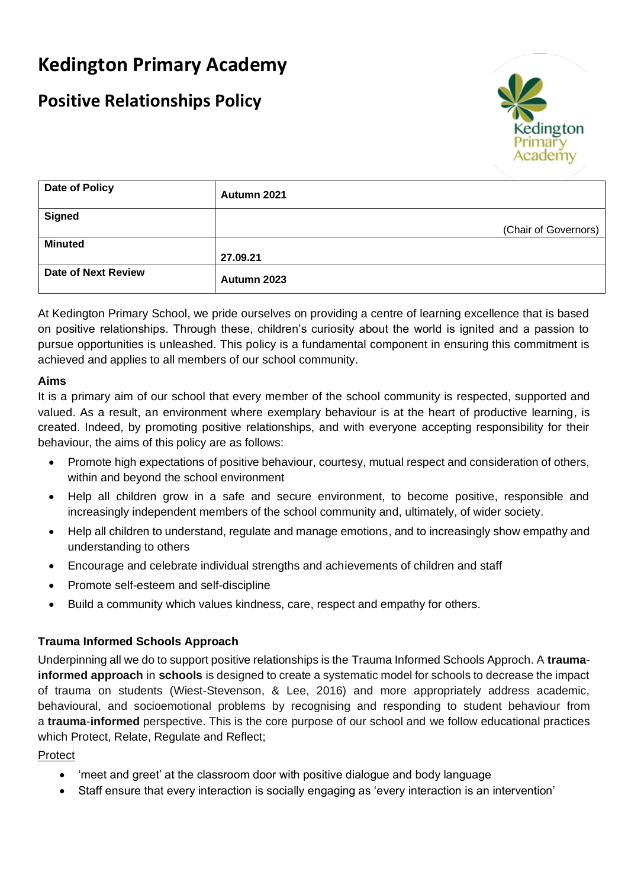# **Kedington Primary Academy**

# **Positive Relationships Policy**



| Date of Policy             | Autumn 2021          |
|----------------------------|----------------------|
| <b>Signed</b>              |                      |
|                            | (Chair of Governors) |
| <b>Minuted</b>             |                      |
|                            | 27.09.21             |
| <b>Date of Next Review</b> | Autumn 2023          |

At Kedington Primary School, we pride ourselves on providing a centre of learning excellence that is based on positive relationships. Through these, children's curiosity about the world is ignited and a passion to pursue opportunities is unleashed. This policy is a fundamental component in ensuring this commitment is achieved and applies to all members of our school community.

# **Aims**

It is a primary aim of our school that every member of the school community is respected, supported and valued. As a result, an environment where exemplary behaviour is at the heart of productive learning, is created. Indeed, by promoting positive relationships, and with everyone accepting responsibility for their behaviour, the aims of this policy are as follows:

- Promote high expectations of positive behaviour, courtesy, mutual respect and consideration of others, within and beyond the school environment
- Help all children grow in a safe and secure environment, to become positive, responsible and increasingly independent members of the school community and, ultimately, of wider society.
- Help all children to understand, regulate and manage emotions, and to increasingly show empathy and understanding to others
- Encourage and celebrate individual strengths and achievements of children and staff
- Promote self-esteem and self-discipline
- Build a community which values kindness, care, respect and empathy for others.

### **Trauma Informed Schools Approach**

Underpinning all we do to support positive relationships is the Trauma Informed Schools Approch. A **traumainformed approach** in **schools** is designed to create a systematic model for schools to decrease the impact of trauma on students (Wiest-Stevenson, & Lee, 2016) and more appropriately address academic, behavioural, and socioemotional problems by recognising and responding to student behaviour from a **trauma**-**informed** perspective. This is the core purpose of our school and we follow educational practices which Protect, Relate, Regulate and Reflect;

### Protect

- 'meet and greet' at the classroom door with positive dialogue and body language
- Staff ensure that every interaction is socially engaging as 'every interaction is an intervention'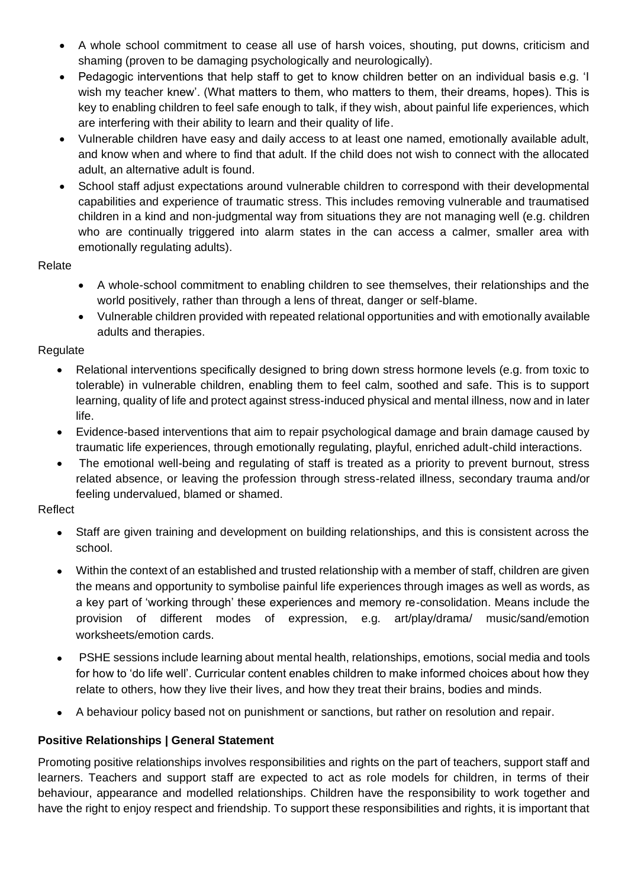- A whole school commitment to cease all use of harsh voices, shouting, put downs, criticism and shaming (proven to be damaging psychologically and neurologically).
- Pedagogic interventions that help staff to get to know children better on an individual basis e.g. 'I wish my teacher knew'. (What matters to them, who matters to them, their dreams, hopes). This is key to enabling children to feel safe enough to talk, if they wish, about painful life experiences, which are interfering with their ability to learn and their quality of life.
- Vulnerable children have easy and daily access to at least one named, emotionally available adult, and know when and where to find that adult. If the child does not wish to connect with the allocated adult, an alternative adult is found.
- School staff adjust expectations around vulnerable children to correspond with their developmental capabilities and experience of traumatic stress. This includes removing vulnerable and traumatised children in a kind and non-judgmental way from situations they are not managing well (e.g. children who are continually triggered into alarm states in the can access a calmer, smaller area with emotionally regulating adults).

### Relate

- A whole-school commitment to enabling children to see themselves, their relationships and the world positively, rather than through a lens of threat, danger or self-blame.
- Vulnerable children provided with repeated relational opportunities and with emotionally available adults and therapies.

### Regulate

- Relational interventions specifically designed to bring down stress hormone levels (e.g. from toxic to tolerable) in vulnerable children, enabling them to feel calm, soothed and safe. This is to support learning, quality of life and protect against stress-induced physical and mental illness, now and in later life.
- Evidence-based interventions that aim to repair psychological damage and brain damage caused by traumatic life experiences, through emotionally regulating, playful, enriched adult-child interactions.
- The emotional well-being and regulating of staff is treated as a priority to prevent burnout, stress related absence, or leaving the profession through stress-related illness, secondary trauma and/or feeling undervalued, blamed or shamed.

# Reflect

- Staff are given training and development on building relationships, and this is consistent across the school.
- Within the context of an established and trusted relationship with a member of staff, children are given the means and opportunity to symbolise painful life experiences through images as well as words, as a key part of 'working through' these experiences and memory re-consolidation. Means include the provision of different modes of expression, e.g. art/play/drama/ music/sand/emotion worksheets/emotion cards.
- PSHE sessions include learning about mental health, relationships, emotions, social media and tools for how to 'do life well'. Curricular content enables children to make informed choices about how they relate to others, how they live their lives, and how they treat their brains, bodies and minds.
- A behaviour policy based not on punishment or sanctions, but rather on resolution and repair.

# **Positive Relationships | General Statement**

Promoting positive relationships involves responsibilities and rights on the part of teachers, support staff and learners. Teachers and support staff are expected to act as role models for children, in terms of their behaviour, appearance and modelled relationships. Children have the responsibility to work together and have the right to enjoy respect and friendship. To support these responsibilities and rights, it is important that